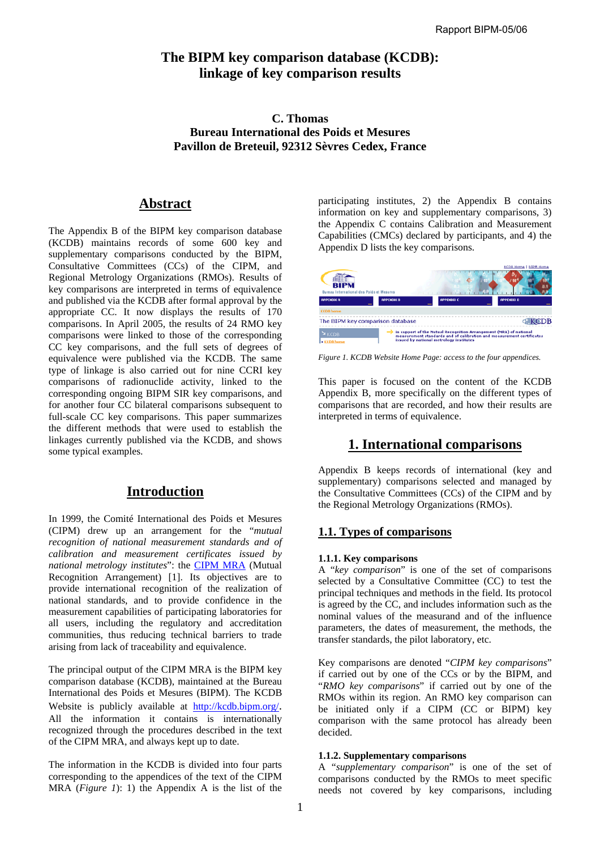# **The BIPM key comparison database (KCDB): linkage of key comparison results**

# **C. Thomas Bureau International des Poids et Mesures Pavillon de Breteuil, 92312 Sèvres Cedex, France**

# **Abstract**

The Appendix B of the BIPM key comparison database (KCDB) maintains records of some 600 key and supplementary comparisons conducted by the BIPM, Consultative Committees (CCs) of the CIPM, and Regional Metrology Organizations (RMOs). Results of key comparisons are interpreted in terms of equivalence and published via the KCDB after formal approval by the appropriate CC. It now displays the results of 170 comparisons. In April 2005, the results of 24 RMO key comparisons were linked to those of the corresponding CC key comparisons, and the full sets of degrees of equivalence were published via the KCDB. The same type of linkage is also carried out for nine CCRI key comparisons of radionuclide activity, linked to the corresponding ongoing BIPM SIR key comparisons, and for another four CC bilateral comparisons subsequent to full-scale CC key comparisons. This paper summarizes the different methods that were used to establish the linkages currently published via the KCDB, and shows some typical examples.

# **Introduction**

In 1999, the Comité International des Poids et Mesures (CIPM) drew up an arrangement for the "*mutual recognition of national measurement standards and of calibration and measurement certificates issued by national metrology institutes*": the [CIPM MRA \(M](https://www.bipm.org/en/convention/mra/mra_online.html)utual Recognition Arrangement) [1]. Its objectives are to provide international recognition of the realization of national standards, and to provide confidence in the measurement capabilities of participating laboratories for all users, including the regulatory and accreditation communities, thus reducing technical barriers to trade arising from lack of traceability and equivalence.

The principal output of the CIPM MRA is the BIPM key comparison database (KCDB), maintained at the Bureau International des Poids et Mesures (BIPM). The KCDB Website is publicly available at  $\frac{http://kcdb.bipm.org/}{http://kcdb.bipm.org/}$ .<br>All the information it contains is internationally recognized through the procedures described in the text of the CIPM MRA, and always kept up to date.

The information in the KCDB is divided into four parts corresponding to the appendices of the text of the CIPM MRA (*Figure 1*): 1) the Appendix A is the list of the

participating institutes, 2) the Appendix B contains information on key and supplementary comparisons, 3) the Appendix C contains Calibration and Measurement Capabilities (CMCs) declared by participants, and 4) the Appendix D lists the key comparisons.



*Figure 1. KCDB Website Home Page: access to the four appendices.* 

This paper is focused on the content of the KCDB Appendix B, more specifically on the different types of comparisons that are recorded, and how their results are interpreted in terms of equivalence.

# **1. International comparisons**

Appendix B keeps records of international (key and supplementary) comparisons selected and managed by the Consultative Committees (CCs) of the CIPM and by the Regional Metrology Organizations (RMOs).

# **1.1. Types of comparisons**

### **1.1.1. Key comparisons**

A "*key comparison*" is one of the set of comparisons selected by a Consultative Committee (CC) to test the principal techniques and methods in the field. Its protocol is agreed by the CC, and includes information such as the nominal values of the measurand and of the influence parameters, the dates of measurement, the methods, the transfer standards, the pilot laboratory, etc.

Key comparisons are denoted "*CIPM key comparisons*" if carried out by one of the CCs or by the BIPM, and "*RMO key comparisons*" if carried out by one of the RMOs within its region. An RMO key comparison can be initiated only if a CIPM (CC or BIPM) key comparison with the same protocol has already been decided.

### **1.1.2. Supplementary comparisons**

A "*supplementary comparison*" is one of the set of comparisons conducted by the RMOs to meet specific needs not covered by key comparisons, including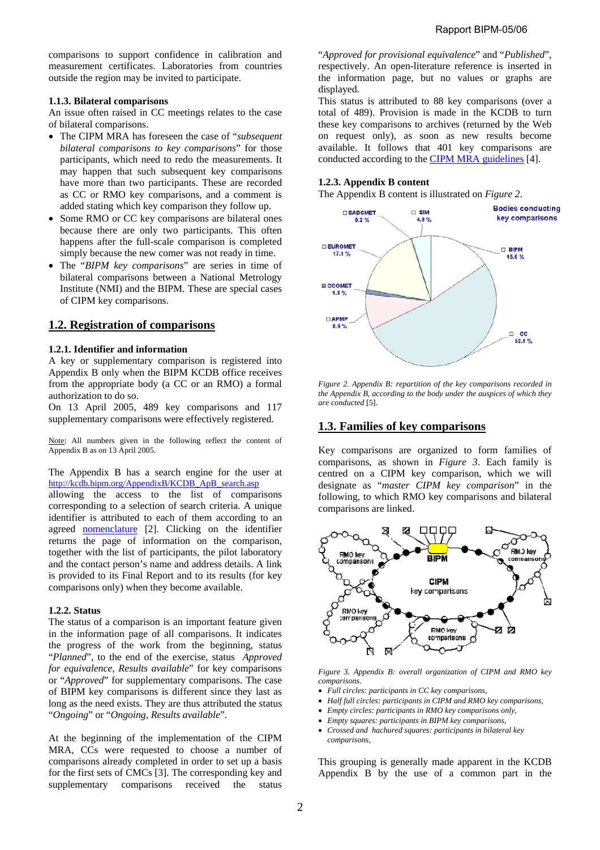comparisons to support confidence in calibration and measurement certificates. Laboratories from countries outside the region may be invited to participate.

#### **1.1.3. Bilateral comparisons**

An issue often raised in CC meetings relates to the case of bilateral comparisons.

- The CIPM MRA has foreseen the case of "*subsequent bilateral comparisons to key comparisons*" for those participants, which need to redo the measurements. It may happen that such subsequent key comparisons have more than two participants. These are recorded as CC or RMO key comparisons, and a comment is added stating which key comparison they follow up.
- Some RMO or CC key comparisons are bilateral ones because there are only two participants. This often happens after the full-scale comparison is completed simply because the new comer was not ready in time.
- The "*BIPM key comparisons*" are series in time of bilateral comparisons between a National Metrology Institute (NMI) and the BIPM. These are special cases of CIPM key comparisons.

## **1.2. Registration of comparisons**

### **1.2.1. Identifier and information**

A key or supplementary comparison is registered into Appendix B only when the BIPM KCDB office receives from the appropriate body (a CC or an RMO) a formal authorization to do so.

On 13 April 2005, 489 key comparisons and 117 supplementary comparisons were effectively registered.

Note: All numbers given in the following reflect the content of Appendix B as on 13 April 2005.

The Appendix B has a search engine for the user at [http://kcdb.bipm.org/AppendixB/KCDB\\_ApB\\_search.asp](http://kcdb.bipm.org/AppendixB/KCDB_ApB_search.asp)

allowing the access to the list of comparisons corresponding to a selection of search criteria. A unique identifier is attributed to each of them according to an agreed [nomenclature \[2](https://www.bipm.org/utils/en/pdf/nomenclature.pdf)]. Clicking on the identifier returns the page of information on the comparison, together with the list of participants, the pilot laboratory and the contact person's name and address details. A link is provided to its Final Report and to its results (for key comparisons only) when they become available.

#### **1.2.2. Status**

The status of a comparison is an important feature given in the information page of all comparisons. It indicates the progress of the work from the beginning, status "*Planned*", to the end of the exercise, status *Approved for equivalence, Results available*" for key comparisons or "*Approved*" for supplementary comparisons. The case of BIPM key comparisons is different since they last as long as the need exists. They are thus attributed the status "*Ongoing*" or "*Ongoing, Results available*".

At the beginning of the implementation of the CIPM MRA, CCs were requested to choose a number of comparisons already completed in order to set up a basis for the first sets of CMCs [3]. The corresponding key and supplementary comparisons received the status

"*Approved for provisional equivalence*" and "*Published*", respectively. An open-literature reference is inserted in the information page, but no values or graphs are displayed.

This status is attributed to 88 key comparisons (over a total of 489). Provision is made in the KCDB to turn these key comparisons to archives (returned by the Web on request only), as soon as new results become available. It follows that 401 key comparisons are conducted according to the **CIPM MRA** guidelines [4].

### **1.2.3. Appendix B content**

The Appendix B content is illustrated on *Figure 2*.



*Figure 2. Appendix B: repartition of the key comparisons recorded in the Appendix B, according to the body under the auspices of which they are conducted* [5].

## **1.3. Families of key comparisons**

Key comparisons are organized to form families of comparisons, as shown in *Figure 3*. Each family is centred on a CIPM key comparison, which we will designate as "*master CIPM key comparison*" in the following, to which RMO key comparisons and bilateral comparisons are linked.



*Figure 3. Appendix B: overall organization of CIPM and RMO key comparisons.* 

- *Full circles: participants in CC key comparisons,*
- *Half full circles: participants in CIPM and RMO key comparisons,*
- *Empty circles: participants in RMO key comparisons only,*
- *Empty squares: participants in BIPM key comparisons,*
- *Crossed and hachured squares: participants in bilateral key comparisons,*

This grouping is generally made apparent in the KCDB Appendix B by the use of a common part in the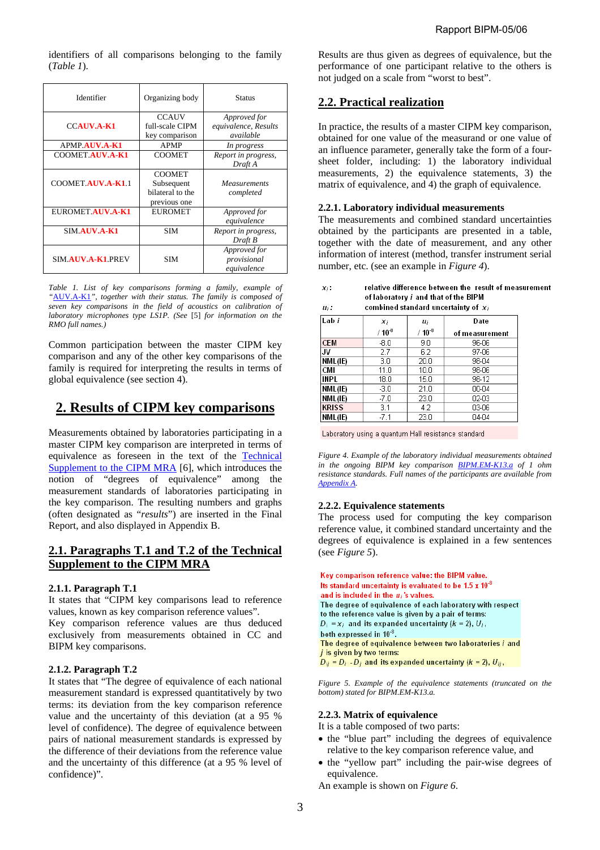identifiers of all comparisons belonging to the family (*Table 1*).

| Identifier               | Organizing body                                                 | Status                                            |
|--------------------------|-----------------------------------------------------------------|---------------------------------------------------|
| <b>CCAUV.A-K1</b>        | <b>CCAUV</b><br>full-scale CIPM<br>key comparison               | Approved for<br>equivalence, Results<br>available |
| APMP.AUV.A-K1            | <b>APMP</b>                                                     | In progress                                       |
| <b>COOMET AUV.A-K1</b>   | <b>COOMET</b>                                                   | Report in progress,<br>Draft A                    |
| COOMET.AUV.A-K1.1        | <b>COOMET</b><br>Subsequent<br>bilateral to the<br>previous one | <b>Measurements</b><br>completed                  |
| EUROMET.AUV.A-K1         | <b>EUROMET</b>                                                  | Approved for<br>equivalence                       |
| <b>SIM AUV.A-K1</b>      | <b>SIM</b>                                                      | Report in progress,<br>Draft B                    |
| <b>SIM AUV.A-K1 PREV</b> | <b>SIM</b>                                                      | Approved for<br>provisional<br>equivalence        |

*Table 1. List of key comparisons forming a family, example of "*[AUV.A-K1](http://kcdb.bipm.org/appendixB/KCDB_ApB_search_result.asp?search=2&cmp_cod_search=auv.a-k1&match_exact=0)*", together with their status. The family is composed of seven key comparisons in the field of acoustics on calibration of laboratory microphones type LS1P. (See* [5] *for information on the RMO full names.)* 

Common participation between the master CIPM key comparison and any of the other key comparisons of the family is required for interpreting the results in terms of global equivalence (see section 4).

# **2. Results of CIPM key comparisons**

Measurements obtained by laboratories participating in a master CIPM key comparison are interpreted in terms of [equivalence as foreseen in the text of the Technical](https://www.bipm.org/utils/en/pdf/mra_techsuppl2003.pdf)  Supplement to the CIPM MRA [6], which introduces the notion of "degrees of equivalence" among the measurement standards of laboratories participating in the key comparison. The resulting numbers and graphs (often designated as "*results*") are inserted in the Final Report, and also displayed in Appendix B.

# **2.1. Paragraphs T.1 and T.2 of the Technical Supplement to the CIPM MRA**

### **2.1.1. Paragraph T.1**

It states that "CIPM key comparisons lead to reference values, known as key comparison reference values".

Key comparison reference values are thus deduced exclusively from measurements obtained in CC and BIPM key comparisons.

### **2.1.2. Paragraph T.2**

It states that "The degree of equivalence of each national measurement standard is expressed quantitatively by two terms: its deviation from the key comparison reference value and the uncertainty of this deviation (at a 95 % level of confidence). The degree of equivalence between pairs of national measurement standards is expressed by the difference of their deviations from the reference value and the uncertainty of this difference (at a 95 % level of confidence)".

Results are thus given as degrees of equivalence, but the performance of one participant relative to the others is not judged on a scale from "worst to best".

# **2.2. Practical realization**

In practice, the results of a master CIPM key comparison, obtained for one value of the measurand or one value of an influence parameter, generally take the form of a foursheet folder, including: 1) the laboratory individual measurements, 2) the equivalence statements, 3) the matrix of equivalence, and 4) the graph of equivalence.

#### **2.2.1. Laboratory individual measurements**

The measurements and combined standard uncertainties obtained by the participants are presented in a table, together with the date of measurement, and any other information of interest (method, transfer instrument serial number, etc. (see an example in *Figure 4*).

| х.                 | relative difference between the result of measurement |
|--------------------|-------------------------------------------------------|
|                    | of laboratory i and that of the BIPM                  |
| $\boldsymbol{u}$ . | combined standard uncertainty of y-                   |

| Lab i        | x,          | u;          | Date           |
|--------------|-------------|-------------|----------------|
|              | $/ 10^{-8}$ | $/ 10^{-8}$ | of measurement |
| <b>CEM</b>   | $-8.0$      | 9.0         | 96-06          |
| IJV          | 2.7         | 6.2         | 97-06          |
| NML(IE)      | 3.0         | 20.0        | 98-04          |
| <b>CMI</b>   | 11.0        | 10.0        | 98-06          |
| <b>INPL</b>  | 18.0        | 15.0        | 98-12          |
| NML(IE)      | $-3.0$      | 21.0        | 00-04          |
| NML(IE)      | $-7.0$      | 23.0        | 02-03          |
| <b>KRISS</b> | 3.1         | 4.2         | 03-06          |
| NML(IE)      | $-7.1$      | 23.0        | 04-04          |

Laboratory using a quantum Hall resistance standard

*Figure 4. Example of the laboratory individual measurements obtained in the ongoing BIPM key comparison [BIPM.EM-K13.a of](http://kcdb.bipm.org/AppendixB/KCDB_ApB_info.asp?cmp_idy=51&cmp_cod=BIPM.EM-K13.a&page=1&search=2&cmp_cod_search=em-K13.a&met_idy=&bra_idy=&epo_idy=&cmt_idy=&ett_idy_org=&lab_idy=) 1 ohm resistance standards. Full names of the participants are available from [Appendix A.](https://www.bipm.org/utils/en/pdf/signatories.pdf)* 

### **2.2.2. Equivalence statements**

The process used for computing the key comparison reference value, it combined standard uncertainty and the degrees of equivalence is explained in a few sentences (see *Figure 5*).

```
Key comparison reference value: the BIPM value.
Its standard uncertainty is evaluated to be 1.5 \times 10^{-8}and is included in the u_i's values.
The degree of equivalence of each laboratory with respect
to the reference value is given by a pair of terms:
D_i = x_i and its expanded uncertainty (k = 2), U_i,
both expressed in 10<sup>-8</sup>.
The degree of equivalence between two laboratories i and
i is given by two terms:
D_{ij} = D_i - D_j and its expanded uncertainty (k = 2), U_{ij},
```
*Figure 5. Example of the equivalence statements (truncated on the bottom) stated for BIPM.EM-K13.a.* 

### **2.2.3. Matrix of equivalence**

It is a table composed of two parts:

- the "blue part" including the degrees of equivalence relative to the key comparison reference value, and
- the "yellow part" including the pair-wise degrees of equivalence.

An example is shown on *Figure 6*.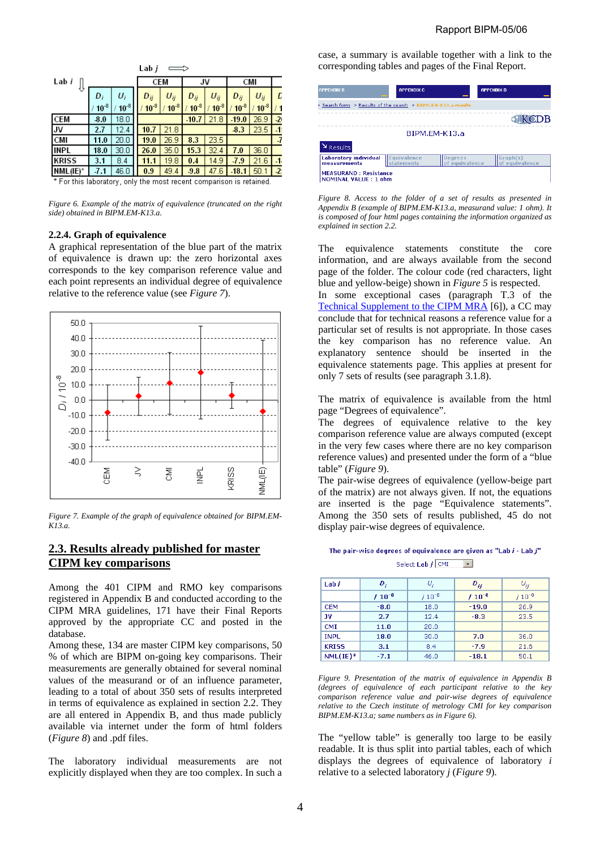| Lab <i>i</i>                                                                               |           |           |  |            |           |           |           |           |           |                |
|--------------------------------------------------------------------------------------------|-----------|-----------|--|------------|-----------|-----------|-----------|-----------|-----------|----------------|
| Lab <i>i</i>                                                                               |           |           |  | <b>CEM</b> |           | JV        |           | CMI       |           |                |
|                                                                                            | D,        | U,        |  | Dij        | $U_{ij}$  | Dij       | $U_{ii}$  | Dij       | $U_{ij}$  | E              |
|                                                                                            | $10^{-8}$ | $10^{-8}$ |  | $10^{-8}$  | $10^{-8}$ | $10^{-8}$ | $10^{-8}$ | $10^{-8}$ | $10^{-8}$ | 11             |
| <b>CEM</b>                                                                                 | $-8.0$    | 18.0      |  |            |           | $-10.7$   | 21.8      | $-19.0$   | 26.9      | $\overline{2}$ |
| JV                                                                                         | 2.7       | 12.4      |  | 10.7       | 21.8      |           |           | 8.3       | 23.5      | $-1$           |
| CMI                                                                                        | 11.0      | 20.0      |  | 19.0       | 26.9      | 8.3       | 23.5      |           |           | $-7$           |
| INPL                                                                                       | 18.0      | 30.0      |  | 26.0       | 35.0      | 15.3      | 32.4      | 7.0       | 36.0      |                |
| <b>KRISS</b>                                                                               | 3.1       | 8.4       |  | 11.1       | 19.8      | 0.4       | 14.9      | 7.9       | 21.6      | $-1$           |
| $NML(IE)^*$                                                                                | $-7.1$    | 46.0      |  | 0.9        | 49.4      | 9.8       | 47.6      | $-18.1$   | 50.1      | $-2$           |
| a discussion della contrattutta di unita<br>大 Electricity follows and controlled by all of |           |           |  |            |           |           |           |           |           |                |

For this laboratory, only the most recent comparison is retained.

*Figure 6. Example of the matrix of equivalence (truncated on the right side) obtained in BIPM.EM-K13.a.* 

#### **2.2.4. Graph of equivalence**

A graphical representation of the blue part of the matrix of equivalence is drawn up: the zero horizontal axes corresponds to the key comparison reference value and each point represents an individual degree of equivalence relative to the reference value (see *Figure 7*).



*Figure 7. Example of the graph of equivalence obtained for BIPM.EM-K13.a.* 

# **2.3. Results already published for master CIPM key comparisons**

Among the 401 CIPM and RMO key comparisons registered in Appendix B and conducted according to the CIPM MRA guidelines, 171 have their Final Reports approved by the appropriate CC and posted in the database.

Among these, 134 are master CIPM key comparisons, 50 % of which are BIPM on-going key comparisons. Their measurements are generally obtained for several nominal values of the measurand or of an influence parameter, leading to a total of about 350 sets of results interpreted in terms of equivalence as explained in section 2.2. They are all entered in Appendix B, and thus made publicly available via internet under the form of html folders (*Figure 8*) and .pdf files.

The laboratory individual measurements are not explicitly displayed when they are too complex. In such a case, a summary is available together with a link to the corresponding tables and pages of the Final Report.

| <b>APPENDIX B</b>                                           | <b>APPENDIX C</b>                                             |                                  | <b>APPENDIX D</b>          |  |  |
|-------------------------------------------------------------|---------------------------------------------------------------|----------------------------------|----------------------------|--|--|
|                                                             | > Search form > Results of the search > BIPM.EM-K13.a results |                                  |                            |  |  |
|                                                             |                                                               |                                  | CDB                        |  |  |
|                                                             |                                                               | BIPM.FM-K13.a                    |                            |  |  |
| Results                                                     |                                                               |                                  |                            |  |  |
| <b>Laboratory individual</b><br>measurements                | Equivalence<br>statements                                     | <b>Degrees</b><br>of equivalence | Graph(s)<br>of equivalence |  |  |
| <b>MEASURAND: Resistance</b><br><b>NOMINAL VALUE: 1 ohm</b> |                                                               |                                  |                            |  |  |

*Figure 8. Access to the folder of a set of results as presented in Appendix B (example of BIPM.EM-K13.a, measurand value: 1 ohm). It is composed of four html pages containing the information organized as explained in section 2.2.* 

The equivalence statements constitute the core information, and are always available from the second page of the folder. The colour code (red characters, light blue and yellow-beige) shown in *Figure 5* is respected.

In some exceptional cases (paragraph T.3 of the [Technical Supplement to the CIPM MRA \[](https://www.bipm.org/utils/en/pdf/mra_techsuppl2003.pdf)6]), a CC may conclude that for technical reasons a reference value for a particular set of results is not appropriate. In those cases the key comparison has no reference value. An explanatory sentence should be inserted in the equivalence statements page. This applies at present for only 7 sets of results (see paragraph 3.1.8).

The matrix of equivalence is available from the html page "Degrees of equivalence".

The degrees of equivalence relative to the key comparison reference value are always computed (except in the very few cases where there are no key comparison reference values) and presented under the form of a "blue table" (*Figure 9*).

The pair-wise degrees of equivalence (yellow-beige part of the matrix) are not always given. If not, the equations are inserted is the page "Equivalence statements". Among the 350 sets of results published, 45 do not display pair-wise degrees of equivalence.

### The pair-wise degrees of equivalence are given as "Lab  $i$  - Lab  $j$ " Select Lab  $j$  CMI  $\boxed{-}$

| Lab i        | D,          | υ,          | $D_{ij}$    | $\upsilon_{\!\scriptscriptstyle H}^{}$ |
|--------------|-------------|-------------|-------------|----------------------------------------|
|              | $/ 10^{-8}$ | $/ 10^{-8}$ | $/ 10^{-8}$ | $/ 10^{-8}$                            |
| <b>CEM</b>   | $-8.0$      | 18.0        | $-19.0$     | 26.9                                   |
| JV.          | 2.7         | 12.4        | $-8.3$      | 23.5                                   |
| <b>CMI</b>   | 11.0        | 20.0        |             |                                        |
| <b>INPL</b>  | 18.0        | 30.0        | 7.0         | 36.0                                   |
| <b>KRISS</b> | 3.1         | 8.4         | $-7.9$      | 21.6                                   |
| $NML(IE)^*$  | $-7.1$      | 46.0        | $-18.1$     | 50.1                                   |

*Figure 9. Presentation of the matrix of equivalence in Appendix B (degrees of equivalence of each participant relative to the key comparison reference value and pair-wise degrees of equivalence relative to the Czech institute of metrology CMI for key comparison BIPM.EM-K13.a; same numbers as in Figure 6).* 

The "yellow table" is generally too large to be easily readable. It is thus split into partial tables, each of which displays the degrees of equivalence of laboratory *i* relative to a selected laboratory *j* (*Figure 9*).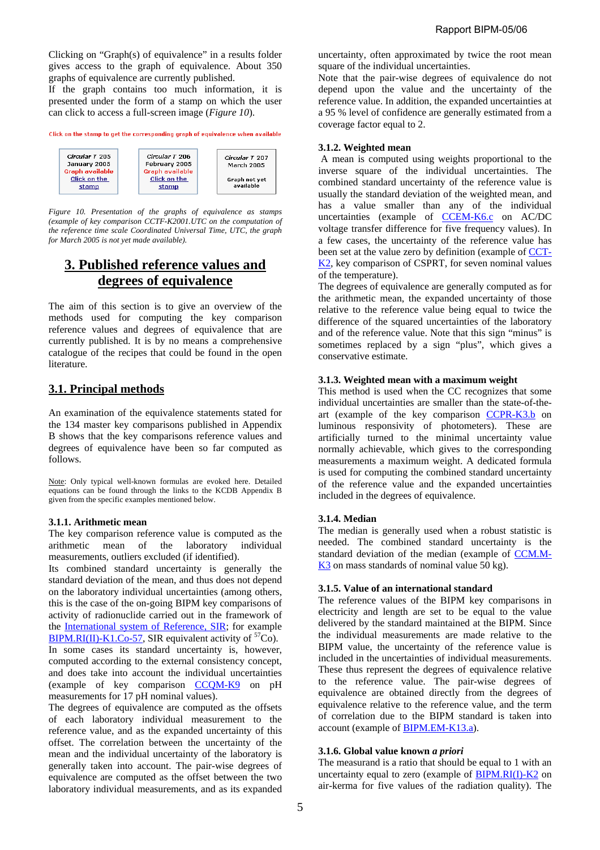Clicking on "Graph(s) of equivalence" in a results folder gives access to the graph of equivalence. About 350 graphs of equivalence are currently published.

If the graph contains too much information, it is presented under the form of a stamp on which the user can click to access a full-screen image (*Figure 10*).

Click on the stamp to get the corresponding graph of equivalence when available



*Figure 10. Presentation of the graphs of equivalence as stamps (example of key comparison CCTF-K2001.UTC on the computation of the reference time scale Coordinated Universal Time, UTC, the graph for March 2005 is not yet made available).* 

# **3. Published reference values and degrees of equivalence**

The aim of this section is to give an overview of the methods used for computing the key comparison reference values and degrees of equivalence that are currently published. It is by no means a comprehensive catalogue of the recipes that could be found in the open literature.

# **3.1. Principal methods**

An examination of the equivalence statements stated for the 134 master key comparisons published in Appendix B shows that the key comparisons reference values and degrees of equivalence have been so far computed as follows.

Note: Only typical well-known formulas are evoked here. Detailed equations can be found through the links to the KCDB Appendix B given from the specific examples mentioned below.

# **3.1.1. Arithmetic mean**

The key comparison reference value is computed as the arithmetic mean of the laboratory individual measurements, outliers excluded (if identified).

Its combined standard uncertainty is generally the standard deviation of the mean, and thus does not depend on the laboratory individual uncertainties (among others, this is the case of the on-going BIPM key comparisons of activity of radionuclide carried out in the framework of the [International system of Reference, SIR;](https://www.bipm.org/en/scientific/ionizing/radionuclides/sir/) for example [BIPM.RI\(II\)-K1.Co-57,](http://kcdb.bipm.org/AppendixB/KCDB_ApB_info.asp?cmp_idy=240&cmp_cod=BIPM.RI(II)-K1.Co-57&page=1&search=2&cmp_cod_search=co-57&met_idy=&bra_idy=&epo_idy=&cmt_idy=&ett_idy_org=&lab_idy=) SIR equivalent activity of  ${}^{57}$ Co). In some cases its standard uncertainty is, however, computed according to the external consistency concept, and does take into account the individual uncertainties (example of key comparison [CCQM-K9 o](http://kcdb.bipm.org/AppendixB/KCDB_ApB_info.asp?cmp_idy=160&cmp_cod=CCQM-K9&page=1&search=2&cmp_cod_search=qm-k9&met_idy=&bra_idy=&epo_idy=&cmt_idy=&ett_idy_org=&lab_idy=)n pH measurements for 17 pH nominal values).

The degrees of equivalence are computed as the offsets of each laboratory individual measurement to the reference value, and as the expanded uncertainty of this offset. The correlation between the uncertainty of the mean and the individual uncertainty of the laboratory is generally taken into account. The pair-wise degrees of equivalence are computed as the offset between the two laboratory individual measurements, and as its expanded

uncertainty, often approximated by twice the root mean square of the individual uncertainties.

Note that the pair-wise degrees of equivalence do not depend upon the value and the uncertainty of the reference value. In addition, the expanded uncertainties at a 95 % level of confidence are generally estimated from a coverage factor equal to 2.

## **3.1.2. Weighted mean**

 A mean is computed using weights proportional to the inverse square of the individual uncertainties. The combined standard uncertainty of the reference value is usually the standard deviation of the weighted mean, and has a value smaller than any of the individual uncertainties (example of [CCEM-K6.c o](http://kcdb.bipm.org/AppendixB/KCDB_ApB_info.asp?cmp_idy=67&cmp_cod=CCEM-K6.c&page=1&search=2&cmp_cod_search=em-k6.c&met_idy=&bra_idy=&epo_idy=&cmt_idy=&ett_idy_org=&lab_idy=)n AC/DC voltage transfer difference for five frequency values). In a few cases, the uncertainty of the reference value has been set at the value zero by definition (example of [CCT-](http://kcdb.bipm.org/AppendixB/KCDB_ApB_info.asp?cmp_idy=454&cmp_cod=CCT-K2&search=2&cmp_cod_search=cct-k2&page=1&met_idy=&bra_idy=&epo_idy=&cmt_idy=&ett_idy_org=&lab_idy=)K2, key comparison of CSPRT, for seven nominal values of the temperature).

The degrees of equivalence are generally computed as for the arithmetic mean, the expanded uncertainty of those relative to the reference value being equal to twice the difference of the squared uncertainties of the laboratory and of the reference value. Note that this sign "minus" is sometimes replaced by a sign "plus", which gives a conservative estimate.

## **3.1.3. Weighted mean with a maximum weight**

This method is used when the CC recognizes that some individual uncertainties are smaller than the state-of-theart (example of the key comparison [CCPR-K3.b on](http://kcdb.bipm.org/AppendixB/KCDB_ApB_info.asp?cmp_idy=489&cmp_cod=CCPR-K3.b&page=1&search=2&cmp_cod_search=ccpr-k3.b&met_idy=&bra_idy=&epo_idy=&cmt_idy=&ett_idy_org=&lab_idy=) luminous responsivity of photometers). These are artificially turned to the minimal uncertainty value normally achievable, which gives to the corresponding measurements a maximum weight. A dedicated formula is used for computing the combined standard uncertainty of the reference value and the expanded uncertainties included in the degrees of equivalence.

# **3.1.4. Median**

The median is generally used when a robust statistic is needed. The combined standard uncertainty is the standard deviation of the median (example of [CCM.M-](http://kcdb.bipm.org/AppendixB/KCDB_ApB_info.asp?cmp_idy=402&cmp_cod=CCM.M-K3&page=1&search=2&cmp_cod_search=ccm.m-k3&met_idy=&bra_idy=&epo_idy=&cmt_idy=&ett_idy_org=&lab_idy=)K<sub>3</sub> on mass standards of nominal value 50 kg).

### **3.1.5. Value of an international standard**

The reference values of the BIPM key comparisons in electricity and length are set to be equal to the value delivered by the standard maintained at the BIPM. Since the individual measurements are made relative to the BIPM value, the uncertainty of the reference value is included in the uncertainties of individual measurements. These thus represent the degrees of equivalence relative to the reference value. The pair-wise degrees of equivalence are obtained directly from the degrees of equivalence relative to the reference value, and the term of correlation due to the BIPM standard is taken into account (example o[f BIPM.EM-K13.a\).](http://kcdb.bipm.org/AppendixB/KCDB_ApB_info.asp?cmp_idy=51&cmp_cod=BIPM.EM-K13.a&page=1&search=2&cmp_cod_search=em-K13.a&met_idy=&bra_idy=&epo_idy=&cmt_idy=&ett_idy_org=&lab_idy=) 

# **3.1.6. Global value known** *a priori*

The measurand is a ratio that should be equal to 1 with an uncertainty equal to zero (example of **BIPM.RI(I)-K2** on air-kerma for five values of the radiation quality). The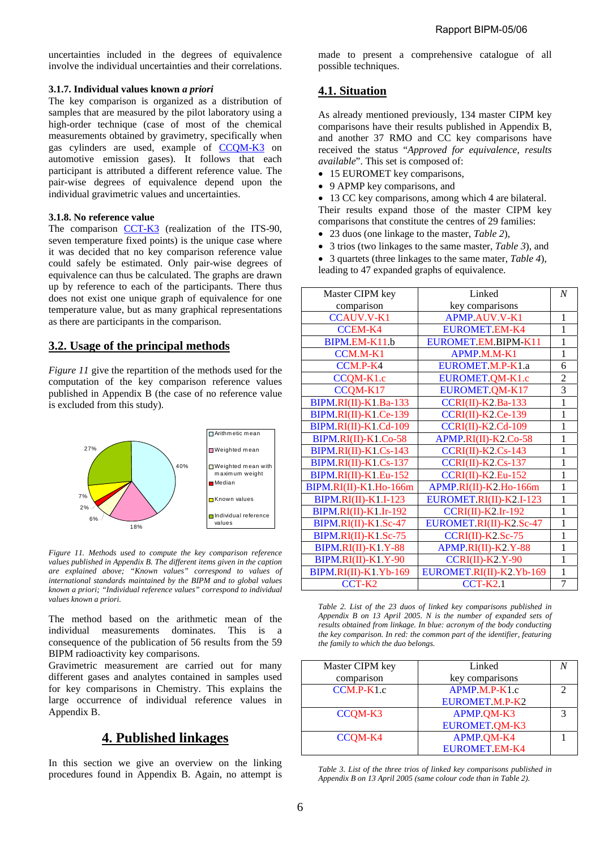uncertainties included in the degrees of equivalence involve the individual uncertainties and their correlations.

### **3.1.7. Individual values known** *a priori*

The key comparison is organized as a distribution of samples that are measured by the pilot laboratory using a high-order technique (case of most of the chemical measurements obtained by gravimetry, specifically when gas cylinders are used, example of [CCQM-K3](http://kcdb.bipm.org/AppendixB/KCDB_ApB_info.asp?cmp_idy=55&cmp_cod=CCQM-K3&page=1&search=2&cmp_cod_search=ccqm-k3&met_idy=&bra_idy=&epo_idy=&cmt_idy=&ett_idy_org=&lab_idy=) on automotive emission gases). It follows that each participant is attributed a different reference value. The pair-wise degrees of equivalence depend upon the individual gravimetric values and uncertainties.

### **3.1.8. No reference value**

The comparison [CCT-K3](http://kcdb.bipm.org/AppendixB/KCDB_ApB_info.asp?cmp_idy=455&cmp_cod=CCT-K3&page=1&search=2&cmp_cod_search=cct-k3&met_idy=&bra_idy=&epo_idy=&cmt_idy=&ett_idy_org=&lab_idy=) (realization of the ITS-90, seven temperature fixed points) is the unique case where it was decided that no key comparison reference value could safely be estimated. Only pair-wise degrees of equivalence can thus be calculated. The graphs are drawn up by reference to each of the participants. There thus does not exist one unique graph of equivalence for one temperature value, but as many graphical representations as there are participants in the comparison.

# **3.2. Usage of the principal methods**

*Figure 11* give the repartition of the methods used for the computation of the key comparison reference values published in Appendix B (the case of no reference value is excluded from this study).

![](_page_5_Figure_8.jpeg)

*Figure 11. Methods used to compute the key comparison reference values published in Appendix B. The different items given in the caption are explained above; "Known values" correspond to values of international standards maintained by the BIPM and to global values known a priori; "Individual reference values" correspond to individual values known a priori.* 

The method based on the arithmetic mean of the individual measurements dominates. This is a consequence of the publication of 56 results from the 59 BIPM radioactivity key comparisons.

Gravimetric measurement are carried out for many different gases and analytes contained in samples used for key comparisons in Chemistry. This explains the large occurrence of individual reference values in Appendix B.

# **4. Published linkages**

In this section we give an overview on the linking procedures found in Appendix B. Again, no attempt is made to present a comprehensive catalogue of all possible techniques.

# **4.1. Situation**

As already mentioned previously, 134 master CIPM key comparisons have their results published in Appendix B, and another 37 RMO and CC key comparisons have received the status "*Approved for equivalence, results available*". This set is composed of:

- 15 EUROMET key comparisons,
- 9 APMP key comparisons, and
- 13 CC key comparisons, among which 4 are bilateral. Their results expand those of the master CIPM key comparisons that constitute the centres of 29 families:
- 23 duos (one linkage to the master, *Table 2*),
- 3 trios (two linkages to the same master, *Table 3*), and

• 3 quartets (three linkages to the same mater, *Table 4*),

leading to 47 expanded graphs of equivalence.

| Master CIPM key              | Linked                    | $\overline{N}$ |
|------------------------------|---------------------------|----------------|
| comparison                   | key comparisons           |                |
| <b>CCAUV.V-K1</b>            | <b>APMP.AUV.V-K1</b>      | 1              |
| <b>CCEM-K4</b>               | <b>EUROMET.EM-K4</b>      | 1              |
| BIPM.EM-K11.b                | EUROMET.EM.BIPM-K11       | $\mathbf{1}$   |
| CCM.M-K1                     | <b>APMP M.M-K1</b>        | $\mathbf{1}$   |
| CCM.P-K4                     | EUROMET.M.P-K1.a          | 6              |
| CCQM-K1.c                    | EUROMET.QM-K1.c           | $\overline{2}$ |
| CCQM-K17                     | EUROMET.OM-K17            | 3              |
| <b>BIPM.RI(II)-K1.Ba-133</b> | $CCRI(II) - K2.Ba-133$    | 1              |
| BIPM.RI(II)-K1.Ce-139        | <b>CCRI(II)-K2.Ce-139</b> | 1              |
| BIPM.RI(II)-K1.Cd-109        | $CCRI(II)-K2.Cd-109$      | 1              |
| BIPM.RI(II)-K1.Co-58         | APMP.RI(II)-K2.Co-58      | 1              |
| BIPM.RI(II)-K1.Cs-143        | $CCRI(II)-K2.Cs-143$      | $\mathbf{1}$   |
| BIPM.RI(II)-K1.Cs-137        | $CCRI(II)-K2.Cs-137$      | $\mathbf{1}$   |
| BIPM.RI(II)-K1.Eu-152        | $CCRI(II)-K2.Eu-152$      | $\mathbf{1}$   |
| BIPM.RI(II)-K1.Ho-166m       | APMP.RI(II)-K2.Ho-166m    | 1              |
| <b>BIPM.RI(II)-K1.I-123</b>  | EUROMET.RI(II)-K2.I-123   | 1              |
| <b>BIPM.RI(II)-K1.Ir-192</b> | $CCRI(II)$ - $K2.Ir-192$  | 1              |
| BIPM.RI(II)-K1.Sc-47         | EUROMET.RI(II)-K2.Sc-47   | 1              |
| BIPM.RI(II)-K1.Sc-75         | $CCRI(II)$ -K2.Sc-75      | 1              |
| <b>BIPM.RI(II)-K1.Y-88</b>   | APMP.RI(II)-K2.Y-88       | $\mathbf{1}$   |
| <b>BIPM.RI(II)-K1.Y-90</b>   | $CCRI(II)-K2.Y-90$        | $\mathbf{1}$   |
| BIPM.RI(II)-K1.Yb-169        | EUROMET.RI(II)-K2.Yb-169  | $\mathbf{1}$   |
| CCT-K2                       | <b>CCT-K2.1</b>           | 7              |

*Table 2. List of the 23 duos of linked key comparisons published in Appendix B on 13 April 2005. N is the number of expanded sets of results obtained from linkage. In blue: acronym of the body conducting the key comparison. In red: the common part of the identifier, featuring the family to which the duo belongs.*

| Master CIPM key | Linked               |   |
|-----------------|----------------------|---|
| comparison      | key comparisons      |   |
| $CCM.P-K1.c$    | $APMP.M.P-K1.c$      | C |
|                 | EUROMET.M.P-K2       |   |
| CCQM-K3         | APMP.QM-K3           | 2 |
|                 | <b>EUROMET.OM-K3</b> |   |
| CCQM-K4         | APMP.QM-K4           |   |
|                 | <b>EUROMET.EM-K4</b> |   |

*Table 3. List of the three trios of linked key comparisons published in Appendix B on 13 April 2005 (same colour code than in Table 2).*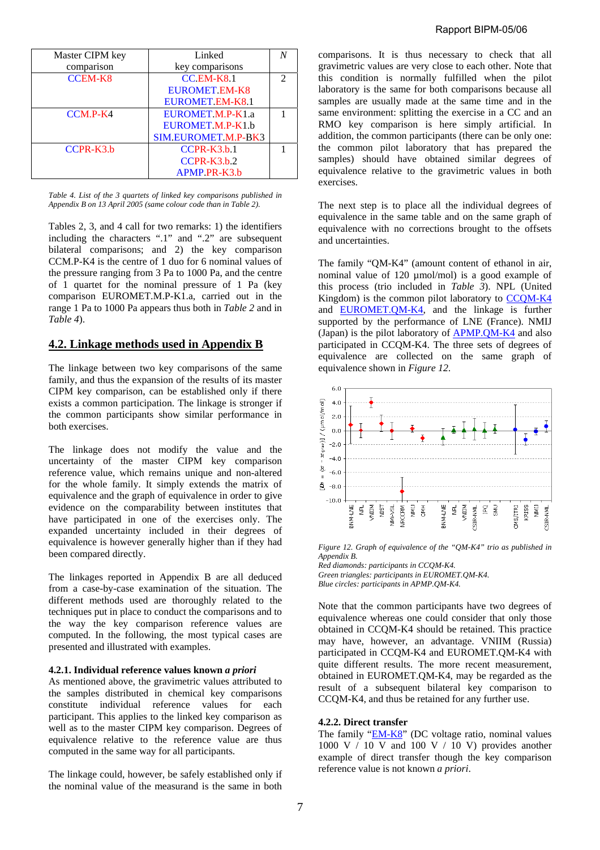| Master CIPM key | Linked                 |   |
|-----------------|------------------------|---|
| comparison      | key comparisons        |   |
| <b>CCEM-K8</b>  | $CC$ EM-K8.1           | 2 |
|                 | <b>EUROMET EM-K8</b>   |   |
|                 | <b>EUROMET EM-K8.1</b> |   |
| $CCM.P-K4$      | EUROMET M.P-K1.a       |   |
|                 | EUROMET M.P-K1.b       |   |
|                 | SIM.EUROMET.M.P-BK3    |   |
| $CCPR-K3.b$     | $CCPR-K3.h.1$          |   |
|                 | $CCPR-K3.h.2$          |   |
|                 | APMP PR-K3.b           |   |

*Table 4. List of the 3 quartets of linked key comparisons published in Appendix B on 13 April 2005 (same colour code than in Table 2).*

Tables 2, 3, and 4 call for two remarks: 1) the identifiers including the characters ".1" and ".2" are subsequent bilateral comparisons; and 2) the key comparison CCM.P-K4 is the centre of 1 duo for 6 nominal values of the pressure ranging from 3 Pa to 1000 Pa, and the centre of 1 quartet for the nominal pressure of 1 Pa (key comparison EUROMET.M.P-K1.a, carried out in the range 1 Pa to 1000 Pa appears thus both in *Table 2* and in *Table 4*).

## **4.2. Linkage methods used in Appendix B**

The linkage between two key comparisons of the same family, and thus the expansion of the results of its master CIPM key comparison, can be established only if there exists a common participation. The linkage is stronger if the common participants show similar performance in both exercises.

The linkage does not modify the value and the uncertainty of the master CIPM key comparison reference value, which remains unique and non-altered for the whole family. It simply extends the matrix of equivalence and the graph of equivalence in order to give evidence on the comparability between institutes that have participated in one of the exercises only. The expanded uncertainty included in their degrees of equivalence is however generally higher than if they had been compared directly.

The linkages reported in Appendix B are all deduced from a case-by-case examination of the situation. The different methods used are thoroughly related to the techniques put in place to conduct the comparisons and to the way the key comparison reference values are computed. In the following, the most typical cases are presented and illustrated with examples.

#### **4.2.1. Individual reference values known** *a priori*

As mentioned above, the gravimetric values attributed to the samples distributed in chemical key comparisons constitute individual reference values for each participant. This applies to the linked key comparison as well as to the master CIPM key comparison. Degrees of equivalence relative to the reference value are thus computed in the same way for all participants.

The linkage could, however, be safely established only if the nominal value of the measurand is the same in both

comparisons. It is thus necessary to check that all gravimetric values are very close to each other. Note that this condition is normally fulfilled when the pilot laboratory is the same for both comparisons because all samples are usually made at the same time and in the same environment: splitting the exercise in a CC and an RMO key comparison is here simply artificial. In addition, the common participants (there can be only one: the common pilot laboratory that has prepared the samples) should have obtained similar degrees of equivalence relative to the gravimetric values in both exercises.

The next step is to place all the individual degrees of equivalence in the same table and on the same graph of equivalence with no corrections brought to the offsets and uncertainties.

The family "QM-K4" (amount content of ethanol in air, nominal value of 120 µmol/mol) is a good example of this process (trio included in *Table 3*). NPL (United Kingdom) is the common pilot laboratory to [CCQM-K4](http://kcdb.bipm.org/appendixB/KCDB_ApB_info.asp?cmp_idy=154&cmp_cod=CCQM-K4&page=1&search=2&cmp_cod_search=ccqm-k4&met_idy=&bra_idy=&epo_idy=&cmt_idy=&ett_idy_org=&lab_idy=) and [EUROMET.QM-K4,](http://kcdb.bipm.org/appendixB/KCDB_ApB_info.asp?cmp_idy=188&cmp_cod=EUROMET.QM-K4&page=1&search=2&cmp_cod_search=euromet.qm-k4&met_idy=&bra_idy=&epo_idy=&cmt_idy=&ett_idy_org=&lab_idy=) and the linkage is further supported by the performance of LNE (France). NMIJ (Japan) is the pilot laboratory of [APMP.QM-K4 a](http://kcdb.bipm.org/appendixB/KCDB_ApB_search_result.asp?search=2&cmp_cod_search=apmp.qm-k4&match_exact=0)nd also participated in CCQM-K4. The three sets of degrees of equivalence are collected on the same graph of equivalence shown in *Figure 12*.

![](_page_6_Figure_14.jpeg)

*Figure 12. Graph of equivalence of the "QM-K4" trio as published in Appendix B.* 

*Red diamonds: participants in CCQM-K4. Green triangles: participants in EUROMET.QM-K4. Blue circles: participants in APMP.QM-K4.*

Note that the common participants have two degrees of equivalence whereas one could consider that only those obtained in CCQM-K4 should be retained. This practice may have, however, an advantage. VNIIM (Russia) participated in CCQM-K4 and EUROMET.QM-K4 with quite different results. The more recent measurement, obtained in EUROMET.QM-K4, may be regarded as the result of a subsequent bilateral key comparison to CCQM-K4, and thus be retained for any further use.

### **4.2.2. Direct transfer**

The family ["EM-K8" \(D](http://kcdb.bipm.org/appendixB/KCDB_ApB_search_result.asp?search=2&cmp_cod_search=em-k8&match_exact=0)C voltage ratio, nominal values 1000 V  $/$  10 V and 100 V  $/$  10 V) provides another example of direct transfer though the key comparison reference value is not known *a priori*.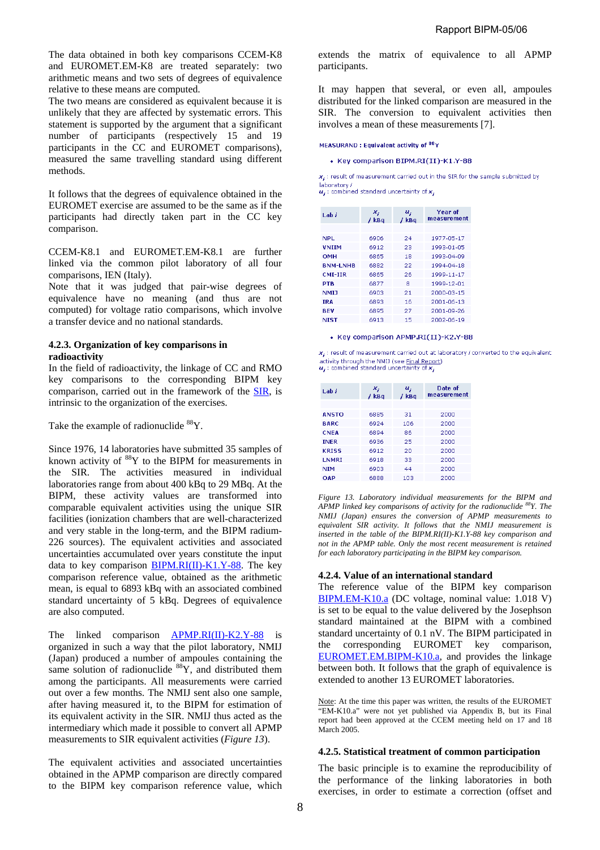The data obtained in both key comparisons CCEM-K8 and EUROMET.EM-K8 are treated separately: two arithmetic means and two sets of degrees of equivalence relative to these means are computed.

The two means are considered as equivalent because it is unlikely that they are affected by systematic errors. This statement is supported by the argument that a significant number of participants (respectively 15 and 19 participants in the CC and EUROMET comparisons), measured the same travelling standard using different methods.

It follows that the degrees of equivalence obtained in the EUROMET exercise are assumed to be the same as if the participants had directly taken part in the CC key comparison.

CCEM-K8.1 and EUROMET.EM-K8.1 are further linked via the common pilot laboratory of all four comparisons, IEN (Italy).

Note that it was judged that pair-wise degrees of equivalence have no meaning (and thus are not computed) for voltage ratio comparisons, which involve a transfer device and no national standards.

### **4.2.3. Organization of key comparisons in radioactivity**

In the field of radioactivity, the linkage of CC and RMO key comparisons to the corresponding BIPM key comparison, carried out in the framework of th[e SIR, i](https://www.bipm.org/en/scientific/ionizing/radionuclides/sir/)s intrinsic to the organization of the exercises.

Take the example of radionuclide <sup>88</sup>Y.

Since 1976, 14 laboratories have submitted 35 samples of known activity of  $88$ <sup>8</sup>Y to the BIPM for measurements in the SIR. The activities measured in individual laboratories range from about 400 kBq to 29 MBq. At the BIPM, these activity values are transformed into comparable equivalent activities using the unique SIR facilities (ionization chambers that are well-characterized and very stable in the long-term, and the BIPM radium-226 sources). The equivalent activities and associated uncertainties accumulated over years constitute the input data to key comparison  $BIPM.RI(II)-K1.Y-88$ . The key comparison reference value, obtained as the arithmetic mean, is equal to 6893 kBq with an associated combined standard uncertainty of 5 kBq. Degrees of equivalence are also computed.

The linked comparison [APMP.RI\(II\)-K2.Y-88](http://kcdb.bipm.org/appendixB/KCDB_ApB_info.asp?cmp_idy=344&cmp_cod=APMP.RI(II)-K2.Y-88&page=1&search=2&cmp_cod_search=y-88&met_idy=&bra_idy=&epo_idy=&cmt_idy=&ett_idy_org=&lab_idy=) is organized in such a way that the pilot laboratory, NMIJ (Japan) produced a number of ampoules containing the same solution of radionuclide <sup>88</sup>Y, and distributed them among the participants. All measurements were carried out over a few months. The NMIJ sent also one sample, after having measured it, to the BIPM for estimation of its equivalent activity in the SIR. NMIJ thus acted as the intermediary which made it possible to convert all APMP measurements to SIR equivalent activities (*Figure 13*).

The equivalent activities and associated uncertainties obtained in the APMP comparison are directly compared to the BIPM key comparison reference value, which

extends the matrix of equivalence to all APMP participants.

It may happen that several, or even all, ampoules distributed for the linked comparison are measured in the SIR. The conversion to equivalent activities then involves a mean of these measurements [7].

#### MEASURAND: Equivalent activity of 88Y

• Key comparison BIPM.RI(II)-K1.Y-88

 $x_i$ : result of measurement carried out in the SIR for the sample submitted by laboratory /  $u_i$ : combined standard uncertainty of  $x_i$ 

| Lah i           | ×,<br>/kBq | u,<br>/ kBq | Year of<br>measurement |
|-----------------|------------|-------------|------------------------|
| NPI             | 6906       | 24          | 1977-05-17             |
| <b>VNIIM</b>    | 6912       | 23          | 1993-01-05             |
| ОМН             | 6865       | 18          | 1993-04-09             |
| <b>BNM-LNHB</b> | 6882       | 22          | 1994-04-18             |
| CMI-IIR         | 6865       | 26          | 1999-11-17             |
| PTB             | 6877       | я           | 1999-12-01             |
| NMI 1           | 6903       | 21          | 2000-03-15             |
| <b>IRA</b>      | 6893       | 16          | 2001-06-13             |
| <b>BEV</b>      | 6895       | 27          | 2001-09-26             |
| NIST            | 6913       | 15          | 2002-06-19             |

#### • Key comparison APMP.RI(II)-K2.Y-88

x. : result of measurement carried out at laboratory / converted to the equivalent activity through the NMD (see Final Report)<br> $u_j$ : combined standard uncertainty of  $x_j$ 

| Lah i        | $x_i$<br>/kBq | $u_i$<br>/kBq | Date of<br>measurement |
|--------------|---------------|---------------|------------------------|
|              |               |               |                        |
| <b>ANSTO</b> | 6885          | 31            | 2000                   |
| <b>BARC</b>  | 6924          | 106           | 2000                   |
| <b>CNFA</b>  | 6894          | 86            | 2000                   |
| <b>INFR</b>  | 6936          | 25            | 2000                   |
| <b>KRISS</b> | 6912          | 20            | 2000                   |
| <b>LNMRI</b> | 6918          | 33            | 2000                   |
| <b>NIM</b>   | 6903          | 44            | 2000                   |
| OAP          | 6888          | 103           | 2000                   |

*Figure 13. Laboratory individual measurements for the BIPM and APMP linked key comparisons of activity for the radionuclide 88Y. The NMIJ (Japan) ensures the conversion of APMP measurements to equivalent SIR activity. It follows that the NMIJ measurement is inserted in the table of the BIPM.RI(II)-K1.Y-88 key comparison and not in the APMP table. Only the most recent measurement is retained for each laboratory participating in the BIPM key comparison.* 

### **4.2.4. Value of an international standard**

The reference value of the BIPM key comparison [BIPM.EM-K10.a \(DC](http://kcdb.bipm.org/appendixB/KCDB_ApB_info.asp?cmp_idy=52&cmp_cod=BIPM.EM-K10.a&page=1&search=2&cmp_cod_search=em-k10.a&met_idy=&bra_idy=&epo_idy=&cmt_idy=&ett_idy_org=&lab_idy=) voltage, nominal value: 1.018 V) is set to be equal to the value delivered by the Josephson standard maintained at the BIPM with a combined standard uncertainty of 0.1 nV. The BIPM participated in the corresponding EUROMET key comparison, [EUROMET.EM.BIPM-K10.a, a](http://kcdb.bipm.org/appendixB/KCDB_ApB_info.asp?cmp_idy=590&cmp_cod=EUROMET.EM.BIPM-K10.a&page=1&search=2&cmp_cod_search=bipm-k10.a&met_idy=&bra_idy=&epo_idy=&cmt_idy=&ett_idy_org=&lab_idy=)nd provides the linkage between both. It follows that the graph of equivalence is extended to another 13 EUROMET laboratories.

Note: At the time this paper was written, the results of the EUROMET "EM-K10.a" were not yet published via Appendix B, but its Final report had been approved at the CCEM meeting held on 17 and 18 March 2005.

### **4.2.5. Statistical treatment of common participation**

The basic principle is to examine the reproducibility of the performance of the linking laboratories in both exercises, in order to estimate a correction (offset and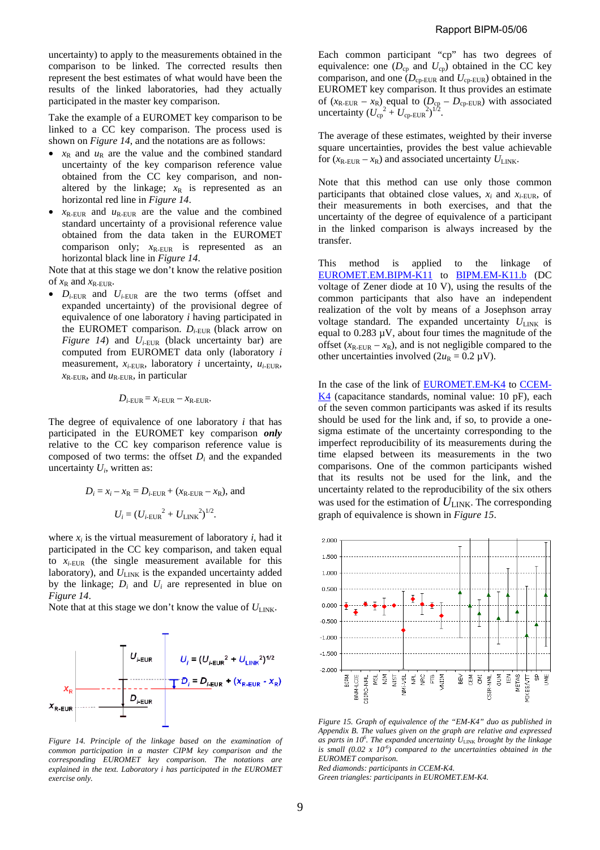uncertainty) to apply to the measurements obtained in the comparison to be linked. The corrected results then represent the best estimates of what would have been the results of the linked laboratories, had they actually participated in the master key comparison.

Take the example of a EUROMET key comparison to be linked to a CC key comparison. The process used is shown on *Figure 14*, and the notations are as follows:

- $x_R$  and  $u_R$  are the value and the combined standard uncertainty of the key comparison reference value obtained from the CC key comparison, and nonaltered by the linkage;  $x_R$  is represented as an horizontal red line in *Figure 14*.
- $x_{\text{R-EUR}}$  and  $u_{\text{R-EUR}}$  are the value and the combined standard uncertainty of a provisional reference value obtained from the data taken in the EUROMET comparison only;  $x_{R-EUR}$  is represented as an horizontal black line in *Figure 14*.

Note that at this stage we don't know the relative position of  $x_R$  and  $x_R$ -EUR.

 $D_{i\text{-EUR}}$  and  $U_{i\text{-EUR}}$  are the two terms (offset and expanded uncertainty) of the provisional degree of equivalence of one laboratory *i* having participated in the EUROMET comparison.  $D_{i$ -EUR (black arrow on *Figure 14*) and  $U_{i$ -EUR (black uncertainty bar) are computed from EUROMET data only (laboratory *i* measurement,  $x_i$ -EUR, laboratory *i* uncertainty,  $u_i$ -EUR,  $x_{\text{R-EUR}}$ , and  $u_{\text{R-EUR}}$ , in particular

$$
D_{i\text{-EUR}} = x_{i\text{-EUR}} - x_{\text{R-EUR}}.
$$

The degree of equivalence of one laboratory *i* that has participated in the EUROMET key comparison *only* relative to the CC key comparison reference value is composed of two terms: the offset  $D_i$  and the expanded uncertainty *Ui*, written as:

$$
D_i = x_i - x_R = D_{i-EUR} + (x_{R-EUR} - x_R)
$$
, and  
 $U_i = (U_{i-EUR}^2 + U_{LINK}^2)^{1/2}$ .

where  $x_i$  is the virtual measurement of laboratory  $i$ , had it participated in the CC key comparison, and taken equal to  $x_i$ -EUR (the single measurement available for this laboratory), and  $U_{\text{LINK}}$  is the expanded uncertainty added by the linkage;  $D_i$  and  $U_i$  are represented in blue on *Figure 14*.

Note that at this stage we don't know the value of  $U_{\text{LINK}}$ .

![](_page_8_Figure_12.jpeg)

*Figure 14. Principle of the linkage based on the examination of common participation in a master CIPM key comparison and the corresponding EUROMET key comparison. The notations are explained in the text. Laboratory i has participated in the EUROMET exercise only.* 

Each common participant "cp" has two degrees of equivalence: one  $(D_{cp}$  and  $U_{cp}$ ) obtained in the CC key comparison, and one  $(D_{cp-EUR}$  and  $U_{cp-EUR}$ ) obtained in the EUROMET key comparison. It thus provides an estimate of  $(x_{\text{R-EUR}} - x_{\text{R}})$  equal to  $(D_{\text{cp}} - D_{\text{cp-EUR}})$  with associated uncertainty  $(U_{cp}^2 + U_{cp-EUR}^2)^{1/2}$ .

The average of these estimates, weighted by their inverse square uncertainties, provides the best value achievable for  $(x_{\text{R-EUR}} - x_{\text{R}})$  and associated uncertainty  $U_{\text{LINK}}$ .

Note that this method can use only those common participants that obtained close values,  $x_i$  and  $x_{i\text{-EUR}}$ , of their measurements in both exercises, and that the uncertainty of the degree of equivalence of a participant in the linked comparison is always increased by the transfer.

This method is applied to the linkage of [EUROMET.EM.BIPM-K11](http://kcdb.bipm.org/appendixB/KCDB_ApB_info.asp?cmp_idy=108&cmp_cod=EUROMET.EM.BIPM-K11&page=1&search=2&cmp_cod_search=euromet.em.bipm-k11&met_idy=&bra_idy=&epo_idy=&cmt_idy=&ett_idy_org=&lab_idy=) to [BIPM.EM-K11.b \(](http://kcdb.bipm.org/appendixB/KCDB_ApB_info.asp?cmp_idy=59&cmp_cod=BIPM.EM-K11.b&page=1&search=2&cmp_cod_search=em-k11.b&met_idy=&bra_idy=&epo_idy=&cmt_idy=&ett_idy_org=&lab_idy=)DC voltage of Zener diode at 10 V), using the results of the common participants that also have an independent realization of the volt by means of a Josephson array voltage standard. The expanded uncertainty  $U_{\text{LINK}}$  is equal to  $0.283 \mu V$ , about four times the magnitude of the offset  $(x_{R-EUR} - x_R)$ , and is not negligible compared to the other uncertainties involved  $(2u_R = 0.2 \mu V)$ .

In the case of the link o[f EUROMET.EM-K4](http://kcdb.bipm.org/appendixB/KCDB_ApB_info.asp?cmp_idy=104&cmp_cod=EUROMET.EM-K4&page=1&search=2&cmp_cod_search=euromet.em-k4&met_idy=&bra_idy=&epo_idy=&cmt_idy=&ett_idy_org=&lab_idy=) to [CCEM-](http://kcdb.bipm.org/appendixB/KCDB_ApB_info.asp?cmp_idy=42&cmp_cod=CCEM-K4&page=1&search=2&cmp_cod_search=ccem-k4&met_idy=&bra_idy=&epo_idy=&cmt_idy=&ett_idy_org=&lab_idy=)K4 (capacitance standards, nominal value: 10 pF), each of the seven common participants was asked if its results should be used for the link and, if so, to provide a onesigma estimate of the uncertainty corresponding to the imperfect reproducibility of its measurements during the time elapsed between its measurements in the two comparisons. One of the common participants wished that its results not be used for the link, and the uncertainty related to the reproducibility of the six others was used for the estimation of  $U_{\text{LINK}}$ . The corresponding graph of equivalence is shown in *Figure 15*.

![](_page_8_Figure_19.jpeg)

*Figure 15. Graph of equivalence of the "EM-K4" duo as published in Appendix B. The values given on the graph are relative and expressed as parts in 106 . The expanded uncertainty U*LINK *brought by the linkage*  is small  $(0.02 \times 10^{-6})$  compared to the uncertainties obtained in the *EUROMET comparison.* 

*Red diamonds: participants in CCEM-K4. Green triangles: participants in EUROMET.EM-K4.*